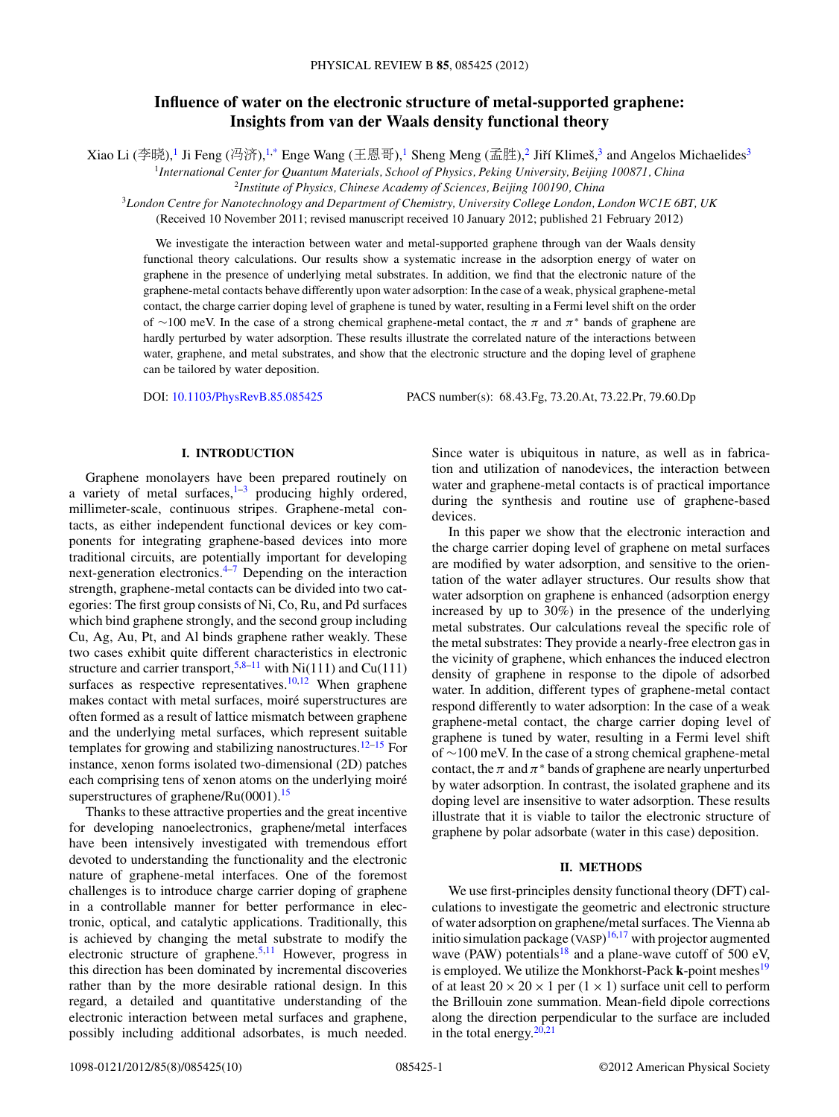# **Influence of water on the electronic structure of metal-supported graphene: Insights from van der Waals density functional theory**

Xiao Li (李晓),<sup>1</sup> Ji Feng (冯济),<sup>1[,\\*](#page-8-0)</sup> Enge Wang (王恩哥),<sup>1</sup> Sheng Meng (孟胜),<sup>2</sup> Jiří Klimeš,<sup>3</sup> and Angelos Michaelides<sup>3</sup>

<sup>1</sup>*International Center for Quantum Materials, School of Physics, Peking University, Beijing 100871, China* <sup>2</sup>*Institute of Physics, Chinese Academy of Sciences, Beijing 100190, China*

<sup>3</sup>*London Centre for Nanotechnology and Department of Chemistry, University College London, London WC1E 6BT, UK* (Received 10 November 2011; revised manuscript received 10 January 2012; published 21 February 2012)

We investigate the interaction between water and metal-supported graphene through van der Waals density functional theory calculations. Our results show a systematic increase in the adsorption energy of water on graphene in the presence of underlying metal substrates. In addition, we find that the electronic nature of the graphene-metal contacts behave differently upon water adsorption: In the case of a weak, physical graphene-metal contact, the charge carrier doping level of graphene is tuned by water, resulting in a Fermi level shift on the order of ∼100 meV. In the case of a strong chemical graphene-metal contact, the *π* and *π*<sup>∗</sup> bands of graphene are hardly perturbed by water adsorption. These results illustrate the correlated nature of the interactions between water, graphene, and metal substrates, and show that the electronic structure and the doping level of graphene can be tailored by water deposition.

DOI: [10.1103/PhysRevB.85.085425](http://dx.doi.org/10.1103/PhysRevB.85.085425) PACS number(s): 68*.*43*.*Fg, 73*.*20*.*At, 73*.*22*.*Pr, 79*.*60*.*Dp

# **I. INTRODUCTION**

Graphene monolayers have been prepared routinely on a variety of metal surfaces, $1-3$  producing highly ordered, millimeter-scale, continuous stripes. Graphene-metal contacts, as either independent functional devices or key components for integrating graphene-based devices into more traditional circuits, are potentially important for developing next-generation electronics. $4-7$  Depending on the interaction strength, graphene-metal contacts can be divided into two categories: The first group consists of Ni, Co, Ru, and Pd surfaces which bind graphene strongly, and the second group including Cu, Ag, Au, Pt, and Al binds graphene rather weakly. These two cases exhibit quite different characteristics in electronic structure and carrier transport,<sup>[5,8–11](#page-8-0)</sup> with Ni(111) and Cu(111) surfaces as respective representatives.<sup>10,12</sup> When graphene makes contact with metal surfaces, moiré superstructures are often formed as a result of lattice mismatch between graphene and the underlying metal surfaces, which represent suitable templates for growing and stabilizing nanostructures.<sup>12–15</sup> For instance, xenon forms isolated two-dimensional (2D) patches each comprising tens of xenon atoms on the underlying moiré superstructures of graphene/Ru $(0001)$ .<sup>[15](#page-8-0)</sup>

Thanks to these attractive properties and the great incentive for developing nanoelectronics, graphene/metal interfaces have been intensively investigated with tremendous effort devoted to understanding the functionality and the electronic nature of graphene-metal interfaces. One of the foremost challenges is to introduce charge carrier doping of graphene in a controllable manner for better performance in electronic, optical, and catalytic applications. Traditionally, this is achieved by changing the metal substrate to modify the electronic structure of graphene.<sup>[5,11](#page-8-0)</sup> However, progress in this direction has been dominated by incremental discoveries rather than by the more desirable rational design. In this regard, a detailed and quantitative understanding of the electronic interaction between metal surfaces and graphene, possibly including additional adsorbates, is much needed.

Since water is ubiquitous in nature, as well as in fabrication and utilization of nanodevices, the interaction between water and graphene-metal contacts is of practical importance during the synthesis and routine use of graphene-based devices.

In this paper we show that the electronic interaction and the charge carrier doping level of graphene on metal surfaces are modified by water adsorption, and sensitive to the orientation of the water adlayer structures. Our results show that water adsorption on graphene is enhanced (adsorption energy increased by up to 30%) in the presence of the underlying metal substrates. Our calculations reveal the specific role of the metal substrates: They provide a nearly-free electron gas in the vicinity of graphene, which enhances the induced electron density of graphene in response to the dipole of adsorbed water. In addition, different types of graphene-metal contact respond differently to water adsorption: In the case of a weak graphene-metal contact, the charge carrier doping level of graphene is tuned by water, resulting in a Fermi level shift of ∼100 meV. In the case of a strong chemical graphene-metal contact, the  $\pi$  and  $\pi$ <sup>\*</sup> bands of graphene are nearly unperturbed by water adsorption. In contrast, the isolated graphene and its doping level are insensitive to water adsorption. These results illustrate that it is viable to tailor the electronic structure of graphene by polar adsorbate (water in this case) deposition.

#### **II. METHODS**

We use first-principles density functional theory (DFT) calculations to investigate the geometric and electronic structure of water adsorption on graphene/metal surfaces. The Vienna ab initio simulation package (VASP)<sup>[16,17](#page-8-0)</sup> with projector augmented wave (PAW) potentials<sup>18</sup> and a plane-wave cutoff of 500 eV, is employed. We utilize the Monkhorst-Pack **k**-point meshes<sup>[19](#page-8-0)</sup> of at least  $20 \times 20 \times 1$  per  $(1 \times 1)$  surface unit cell to perform the Brillouin zone summation. Mean-field dipole corrections along the direction perpendicular to the surface are included in the total energy. $20,21$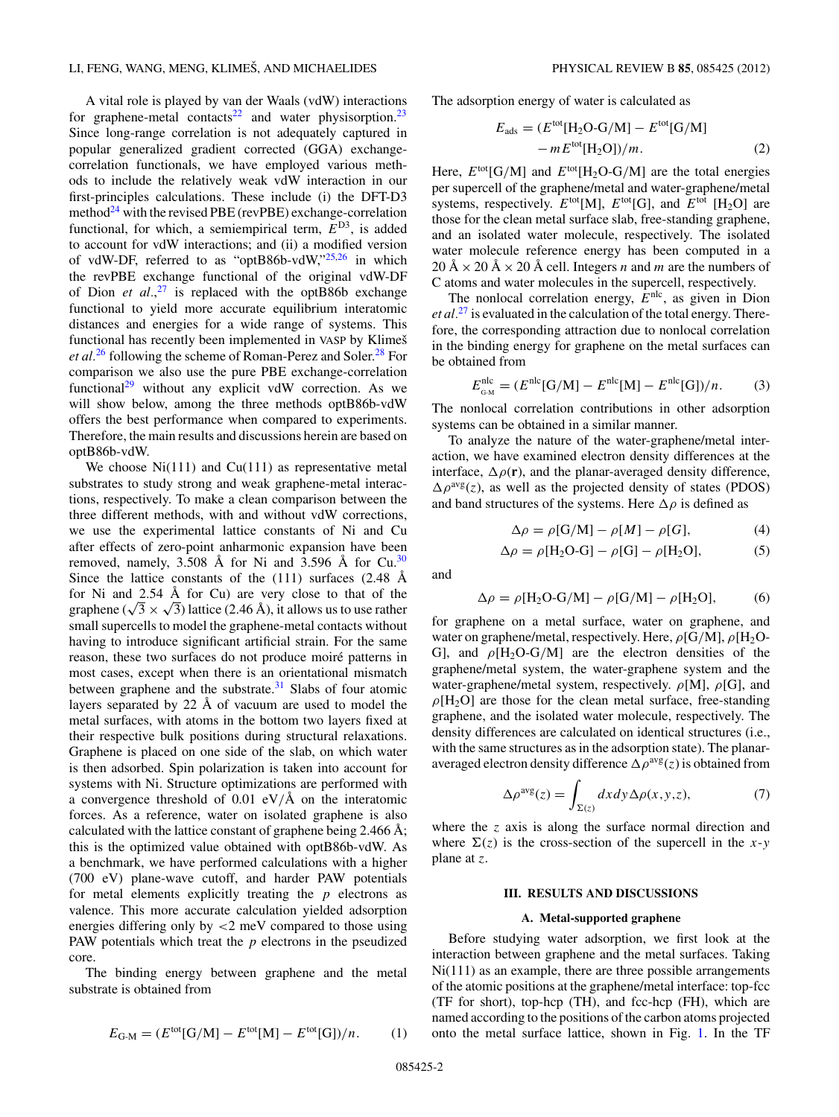A vital role is played by van der Waals (vdW) interactions for graphene-metal contacts<sup>22</sup> and water physisorption.<sup>[23](#page-8-0)</sup> Since long-range correlation is not adequately captured in popular generalized gradient corrected (GGA) exchangecorrelation functionals, we have employed various methods to include the relatively weak vdW interaction in our first-principles calculations. These include (i) the DFT-D3 method<sup>24</sup> with the revised PBE (revPBE) exchange-correlation functional, for which, a semiempirical term,  $E^{D3}$ , is added to account for vdW interactions; and (ii) a modified version of vdW-DF, referred to as "optB86b-vdW,["25,26](#page-8-0) in which the revPBE exchange functional of the original vdW-DF of Dion *et al.*, [27](#page-8-0) is replaced with the optB86b exchange functional to yield more accurate equilibrium interatomic distances and energies for a wide range of systems. This functional has recently been implemented in VASP by Klimeš *et al.*<sup>[26](#page-8-0)</sup> following the scheme of Roman-Perez and Soler.<sup>[28](#page-8-0)</sup> For comparison we also use the pure PBE exchange-correlation functional<sup>[29](#page-8-0)</sup> without any explicit vdW correction. As we will show below, among the three methods optB86b-vdW offers the best performance when compared to experiments. Therefore, the main results and discussions herein are based on optB86b-vdW.

We choose  $Ni(111)$  and  $Cu(111)$  as representative metal substrates to study strong and weak graphene-metal interactions, respectively. To make a clean comparison between the three different methods, with and without vdW corrections, we use the experimental lattice constants of Ni and Cu after effects of zero-point anharmonic expansion have been removed, namely,  $3.508$  Å for Ni and  $3.596$  Å for Cu.<sup>[30](#page-8-0)</sup> Since the lattice constants of the  $(111)$  surfaces  $(2.48 \text{ Å})$ for Ni and  $2.54 \text{ Å}$  for Cu) are very close to that of the graphene ( $\sqrt{3} \times \sqrt{3}$ ) lattice (2.46 Å), it allows us to use rather small supercells to model the graphene-metal contacts without having to introduce significant artificial strain. For the same reason, these two surfaces do not produce moiré patterns in most cases, except when there is an orientational mismatch between graphene and the substrate. $31$  Slabs of four atomic layers separated by  $22 \text{ Å}$  of vacuum are used to model the metal surfaces, with atoms in the bottom two layers fixed at their respective bulk positions during structural relaxations. Graphene is placed on one side of the slab, on which water is then adsorbed. Spin polarization is taken into account for systems with Ni. Structure optimizations are performed with a convergence threshold of  $0.01 \text{ eV/A}$  on the interatomic forces. As a reference, water on isolated graphene is also calculated with the lattice constant of graphene being  $2.466 \text{ Å}$ ; this is the optimized value obtained with optB86b-vdW. As a benchmark, we have performed calculations with a higher (700 eV) plane-wave cutoff, and harder PAW potentials for metal elements explicitly treating the *p* electrons as valence. This more accurate calculation yielded adsorption energies differing only by *<*2 meV compared to those using PAW potentials which treat the *p* electrons in the pseudized core.

The binding energy between graphene and the metal substrate is obtained from

$$
E_{\text{G-M}} = (E^{\text{tot}}[G/M] - E^{\text{tot}}[M] - E^{\text{tot}}[G])/n.
$$
 (1)

The adsorption energy of water is calculated as

$$
E_{\text{ads}} = (E^{\text{tot}}[\text{H}_2\text{O-G/M}] - E^{\text{tot}}[\text{G/M}] - m E^{\text{tot}}[\text{H}_2\text{O}])/m.
$$
 (2)

Here,  $E^{tot}[G/M]$  and  $E^{tot}[H_2O-G/M]$  are the total energies per supercell of the graphene/metal and water-graphene/metal systems, respectively.  $E^{tot}[M]$ ,  $E^{tot}[G]$ , and  $E^{tot}[H_2O]$  are those for the clean metal surface slab, free-standing graphene, and an isolated water molecule, respectively. The isolated water molecule reference energy has been computed in a  $20 \text{ Å} \times 20 \text{ Å} \times 20 \text{ Å}$  cell. Integers *n* and *m* are the numbers of C atoms and water molecules in the supercell, respectively.

The nonlocal correlation energy,  $E^{nlc}$ , as given in Dion *et al.*[27](#page-8-0) is evaluated in the calculation of the total energy. Therefore, the corresponding attraction due to nonlocal correlation in the binding energy for graphene on the metal surfaces can be obtained from

$$
E_{\text{G-M}}^{\text{nlc}} = (E^{\text{nlc}}[G/M] - E^{\text{nlc}}[M] - E^{\text{nlc}}[G])/n.
$$
 (3)

The nonlocal correlation contributions in other adsorption systems can be obtained in a similar manner.

To analyze the nature of the water-graphene/metal interaction, we have examined electron density differences at the interface,  $\Delta \rho(\mathbf{r})$ , and the planar-averaged density difference,  $\Delta \rho^{\text{avg}}(z)$ , as well as the projected density of states (PDOS) and band structures of the systems. Here  $\Delta \rho$  is defined as

$$
\Delta \rho = \rho[G/M] - \rho[M] - \rho[G],\tag{4}
$$

$$
\Delta \rho = \rho[\text{H}_2\text{O-G}] - \rho[\text{G}] - \rho[\text{H}_2\text{O}],\tag{5}
$$

and

$$
\Delta \rho = \rho [H_2O-G/M] - \rho [G/M] - \rho [H_2O],\tag{6}
$$

for graphene on a metal surface, water on graphene, and water on graphene/metal, respectively. Here, *ρ*[G/M], *ρ*[H<sub>2</sub>O-G], and  $\rho$ [H<sub>2</sub>O-G/M] are the electron densities of the graphene/metal system, the water-graphene system and the water-graphene/metal system, respectively. *ρ*[M], *ρ*[G], and  $\rho$ [H<sub>2</sub>O] are those for the clean metal surface, free-standing graphene, and the isolated water molecule, respectively. The density differences are calculated on identical structures (i.e., with the same structures as in the adsorption state). The planaraveraged electron density difference  $\Delta \rho^{\text{avg}}(z)$  is obtained from

$$
\Delta \rho^{\text{avg}}(z) = \int_{\Sigma(z)} dx dy \Delta \rho(x, y, z), \tag{7}
$$

where the *z* axis is along the surface normal direction and where  $\Sigma(z)$  is the cross-section of the supercell in the *x*-*y* plane at *z*.

### **III. RESULTS AND DISCUSSIONS**

#### **A. Metal-supported graphene**

Before studying water adsorption, we first look at the interaction between graphene and the metal surfaces. Taking Ni(111) as an example, there are three possible arrangements of the atomic positions at the graphene/metal interface: top-fcc (TF for short), top-hcp (TH), and fcc-hcp (FH), which are named according to the positions of the carbon atoms projected onto the metal surface lattice, shown in Fig. [1.](#page-2-0) In the TF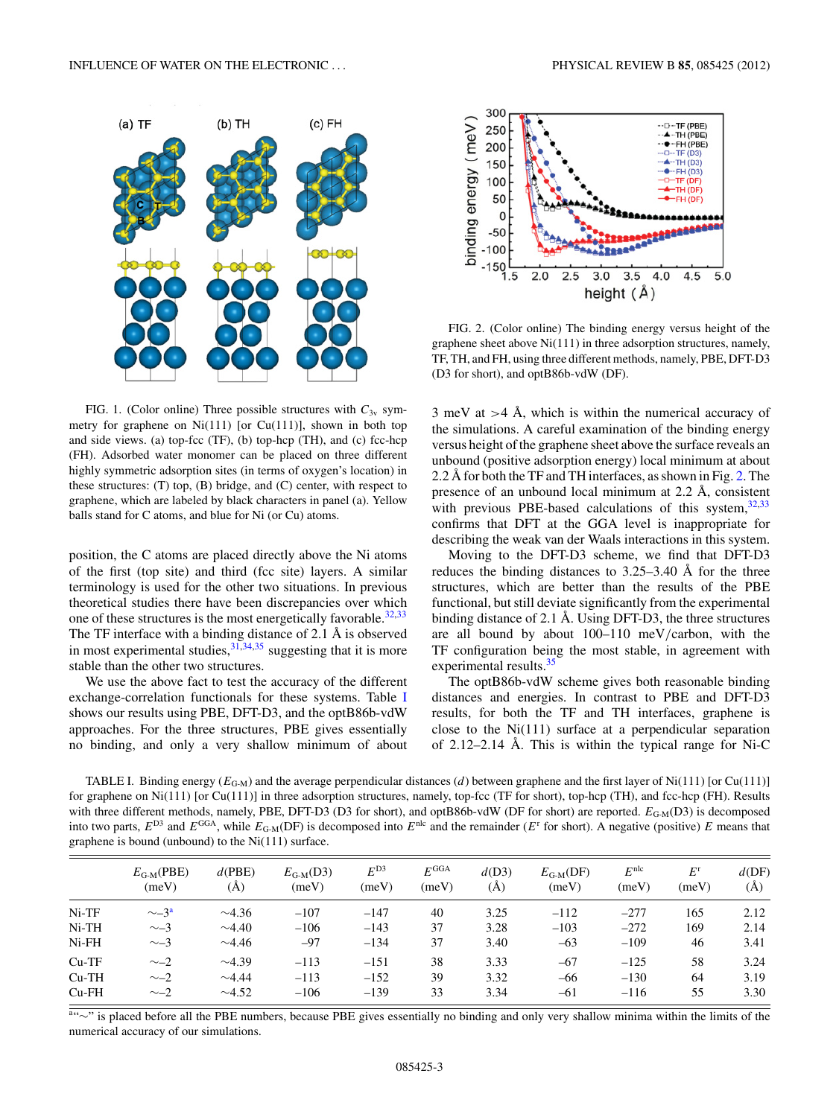<span id="page-2-0"></span> $(a)$  TF



FIG. 1. (Color online) Three possible structures with  $C_{3v}$  symmetry for graphene on Ni(111) [or Cu(111)], shown in both top and side views. (a) top-fcc (TF), (b) top-hcp (TH), and (c) fcc-hcp (FH). Adsorbed water monomer can be placed on three different highly symmetric adsorption sites (in terms of oxygen's location) in these structures: (T) top, (B) bridge, and (C) center, with respect to graphene, which are labeled by black characters in panel (a). Yellow balls stand for C atoms, and blue for Ni (or Cu) atoms.

position, the C atoms are placed directly above the Ni atoms of the first (top site) and third (fcc site) layers. A similar terminology is used for the other two situations. In previous theoretical studies there have been discrepancies over which one of these structures is the most energetically favorable.<sup>32,33</sup> The TF interface with a binding distance of 2.1  $\AA$  is observed in most experimental studies,  $31,34,35$  suggesting that it is more stable than the other two structures.

We use the above fact to test the accuracy of the different exchange-correlation functionals for these systems. Table I shows our results using PBE, DFT-D3, and the optB86b-vdW approaches. For the three structures, PBE gives essentially no binding, and only a very shallow minimum of about



FIG. 2. (Color online) The binding energy versus height of the graphene sheet above Ni(111) in three adsorption structures, namely, TF, TH, and FH, using three different methods, namely, PBE, DFT-D3 (D3 for short), and optB86b-vdW (DF).

3 meV at  $>4$  Å, which is within the numerical accuracy of the simulations. A careful examination of the binding energy versus height of the graphene sheet above the surface reveals an unbound (positive adsorption energy) local minimum at about 2.2 Å for both the TF and TH interfaces, as shown in Fig.  $2$ . The presence of an unbound local minimum at  $2.2 \text{ Å}$ , consistent with previous PBE-based calculations of this system, $32,33$ confirms that DFT at the GGA level is inappropriate for describing the weak van der Waals interactions in this system.

Moving to the DFT-D3 scheme, we find that DFT-D3 reduces the binding distances to  $3.25-3.40$  Å for the three structures, which are better than the results of the PBE functional, but still deviate significantly from the experimental binding distance of 2.1 Å. Using DFT-D3, the three structures are all bound by about 100–110 meV*/*carbon, with the TF configuration being the most stable, in agreement with experimental results.<sup>[35](#page-8-0)</sup>

The optB86b-vdW scheme gives both reasonable binding distances and energies. In contrast to PBE and DFT-D3 results, for both the TF and TH interfaces, graphene is close to the Ni(111) surface at a perpendicular separation of  $2.12-2.14$  Å. This is within the typical range for Ni-C

TABLE I. Binding energy  $(E_{G-M})$  and the average perpendicular distances (d) between graphene and the first layer of Ni(111) [or Cu(111)] for graphene on Ni(111) [or Cu(111)] in three adsorption structures, namely, top-fcc (TF for short), top-hcp (TH), and fcc-hcp (FH). Results with three different methods, namely, PBE, DFT-D3 (D3 for short), and optB86b-vdW (DF for short) are reported.  $E_{\text{G-M}}(D3)$  is decomposed into two parts,  $E^{D3}$  and  $E^{GGA}$ , while  $E_{G-M}(DF)$  is decomposed into  $E^{n|c|}$  and the remainder ( $E^r$  for short). A negative (positive) *E* means that graphene is bound (unbound) to the Ni(111) surface.

|             | $E_{\text{G-M}}(\text{PBE})$<br>(meV) | d(PBE)<br>(Å) | $E_{\text{G-M}}(D3)$<br>(meV) | $E^{D3}$<br>(meV) | $E$ <sup>GGA</sup><br>(meV) | d(D3)<br>(A) | $E_{\text{G-M}}(\text{DF})$<br>(meV) | $E^{\text{nlc}}$<br>(meV) | $E^{\rm r}$<br>(meV) | $d$ (DF)<br>$(\AA)$ |
|-------------|---------------------------------------|---------------|-------------------------------|-------------------|-----------------------------|--------------|--------------------------------------|---------------------------|----------------------|---------------------|
| $Ni-TF$     | $\sim$ $-3^a$                         | $\sim$ 4.36   | $-107$                        | $-147$            | 40                          | 3.25         | $-112$                               | $-277$                    | 165                  | 2.12                |
| $Ni-TH$     | $\sim$ -3                             | $\sim$ 4.40   | $-106$                        | $-143$            | 37                          | 3.28         | $-103$                               | $-272$                    | 169                  | 2.14                |
| $Ni$ - $FH$ | $\sim$ -3                             | $\sim$ 4.46   | $-97$                         | $-134$            | 37                          | 3.40         | $-63$                                | $-109$                    | 46                   | 3.41                |
| $Cu-TF$     | $\sim$ -2                             | $\sim$ 4.39   | $-113$                        | $-151$            | 38                          | 3.33         | $-67$                                | $-125$                    | 58                   | 3.24                |
| $Cu-TH$     | $\sim$ -2                             | ~1.44         | $-113$                        | $-152$            | 39                          | 3.32         | $-66$                                | $-130$                    | 64                   | 3.19                |
| $Cu$ -FH    | $\sim$ -2                             | $\sim$ 4.52   | $-106$                        | $-139$            | 33                          | 3.34         | $-61$                                | $-116$                    | 55                   | 3.30                |

a"∼" is placed before all the PBE numbers, because PBE gives essentially no binding and only very shallow minima within the limits of the numerical accuracy of our simulations.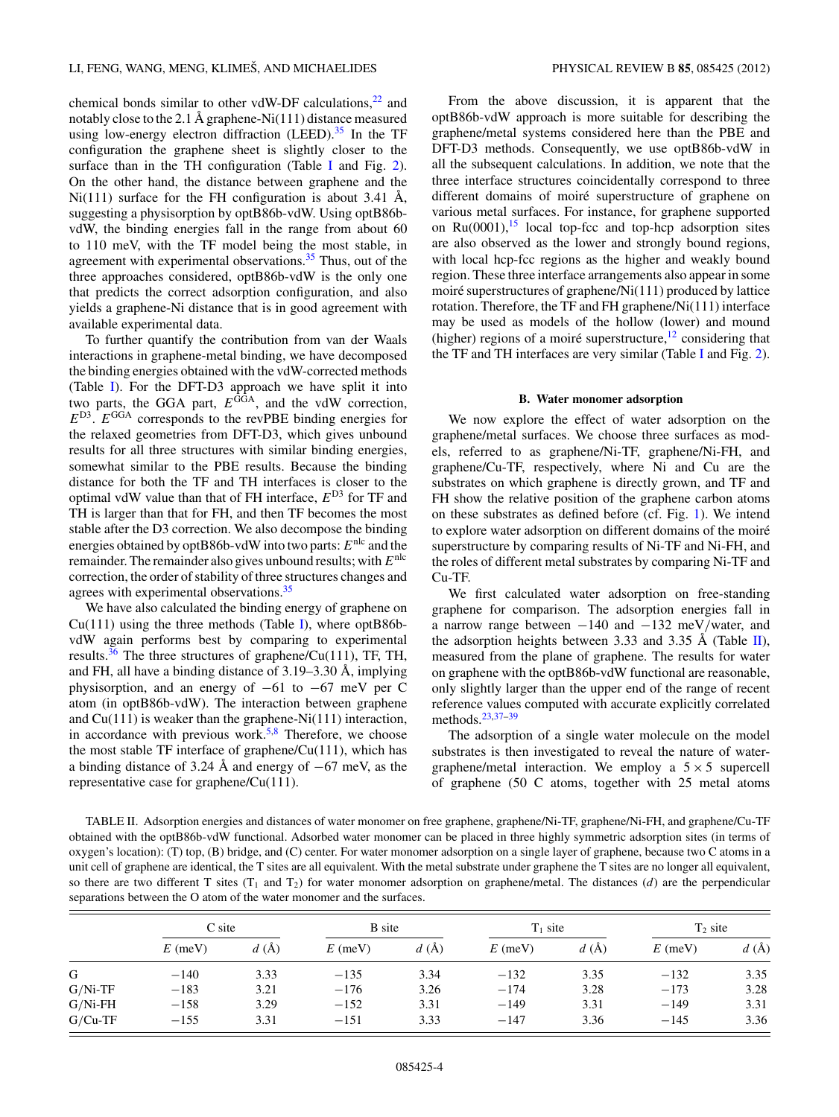<span id="page-3-0"></span>chemical bonds similar to other vdW-DF calculations, $^{22}$  $^{22}$  $^{22}$  and notably close to the 2.1 Å graphene-Ni $(111)$  distance measured using low-energy electron diffraction (LEED).<sup>35</sup> In the TF configuration the graphene sheet is slightly closer to the surface than in the TH configuration (Table [I](#page-2-0) and Fig. [2\)](#page-2-0). On the other hand, the distance between graphene and the Ni(111) surface for the FH configuration is about 3.41 Å, suggesting a physisorption by optB86b-vdW. Using optB86bvdW, the binding energies fall in the range from about 60 to 110 meV, with the TF model being the most stable, in agreement with experimental observations. $35$  Thus, out of the three approaches considered, optB86b-vdW is the only one that predicts the correct adsorption configuration, and also yields a graphene-Ni distance that is in good agreement with available experimental data.

To further quantify the contribution from van der Waals interactions in graphene-metal binding, we have decomposed the binding energies obtained with the vdW-corrected methods (Table [I\)](#page-2-0). For the DFT-D3 approach we have split it into two parts, the GGA part,  $E^{GGA}$ , and the vdW correction, *E*D3. *E*GGA corresponds to the revPBE binding energies for the relaxed geometries from DFT-D3, which gives unbound results for all three structures with similar binding energies, somewhat similar to the PBE results. Because the binding distance for both the TF and TH interfaces is closer to the optimal vdW value than that of FH interface, *E*D3 for TF and TH is larger than that for FH, and then TF becomes the most stable after the D3 correction. We also decompose the binding energies obtained by optB86b-vdW into two parts:  $E<sup>nlc</sup>$  and the remainder. The remainder also gives unbound results; with *E*nlc correction, the order of stability of three structures changes and agrees with experimental observations.<sup>35</sup>

We have also calculated the binding energy of graphene on  $Cu(111)$  using the three methods (Table [I\)](#page-2-0), where optB86bvdW again performs best by comparing to experimental results.<sup>[36](#page-8-0)</sup> The three structures of graphene/Cu(111), TF, TH, and FH, all have a binding distance of  $3.19-3.30 \text{ Å}$ , implying physisorption, and an energy of −61 to −67 meV per C atom (in optB86b-vdW). The interaction between graphene and  $Cu(111)$  is weaker than the graphene-Ni $(111)$  interaction, in accordance with previous work.<sup>[5,8](#page-8-0)</sup> Therefore, we choose the most stable TF interface of graphene/ $Cu(111)$ , which has a binding distance of 3.24 Å and energy of  $-67$  meV, as the representative case for graphene/Cu(111).

From the above discussion, it is apparent that the optB86b-vdW approach is more suitable for describing the graphene/metal systems considered here than the PBE and DFT-D3 methods. Consequently, we use optB86b-vdW in all the subsequent calculations. In addition, we note that the three interface structures coincidentally correspond to three different domains of moiré superstructure of graphene on various metal surfaces. For instance, for graphene supported on  $Ru(0001)$ , <sup>[15](#page-8-0)</sup> local top-fcc and top-hcp adsorption sites are also observed as the lower and strongly bound regions, with local hcp-fcc regions as the higher and weakly bound region. These three interface arrangements also appear in some moiré superstructures of graphene/ $Ni(111)$  produced by lattice rotation. Therefore, the TF and FH graphene/Ni(111) interface may be used as models of the hollow (lower) and mound (higher) regions of a moiré superstructure,  $^{12}$  $^{12}$  $^{12}$  considering that the TF and TH interfaces are very similar (Table [I](#page-2-0) and Fig. [2\)](#page-2-0).

## **B. Water monomer adsorption**

We now explore the effect of water adsorption on the graphene/metal surfaces. We choose three surfaces as models, referred to as graphene/Ni-TF, graphene/Ni-FH, and graphene/Cu-TF, respectively, where Ni and Cu are the substrates on which graphene is directly grown, and TF and FH show the relative position of the graphene carbon atoms on these substrates as defined before (cf. Fig. [1\)](#page-2-0). We intend to explore water adsorption on different domains of the moiré superstructure by comparing results of Ni-TF and Ni-FH, and the roles of different metal substrates by comparing Ni-TF and Cu-TF.

We first calculated water adsorption on free-standing graphene for comparison. The adsorption energies fall in a narrow range between −140 and −132 meV*/*water, and the adsorption heights between 3.33 and 3.35 Å (Table  $\overline{II}$ ), measured from the plane of graphene. The results for water on graphene with the optB86b-vdW functional are reasonable, only slightly larger than the upper end of the range of recent reference values computed with accurate explicitly correlated methods. $23,37-39$  $23,37-39$ 

The adsorption of a single water molecule on the model substrates is then investigated to reveal the nature of watergraphene/metal interaction. We employ a  $5 \times 5$  supercell of graphene (50 C atoms, together with 25 metal atoms

TABLE II. Adsorption energies and distances of water monomer on free graphene, graphene/Ni-TF, graphene/Ni-FH, and graphene/Cu-TF obtained with the optB86b-vdW functional. Adsorbed water monomer can be placed in three highly symmetric adsorption sites (in terms of oxygen's location): (T) top, (B) bridge, and (C) center. For water monomer adsorption on a single layer of graphene, because two C atoms in a unit cell of graphene are identical, the T sites are all equivalent. With the metal substrate under graphene the T sites are no longer all equivalent, so there are two different T sites  $(T_1$  and  $T_2)$  for water monomer adsorption on graphene/metal. The distances (*d*) are the perpendicular separations between the O atom of the water monomer and the surfaces.

|            | $C$ site  |      | <b>B</b> site |      | $T_1$ site |      | $T_2$ site |                          |
|------------|-----------|------|---------------|------|------------|------|------------|--------------------------|
|            | $E$ (meV) | d(A) | $E$ (meV)     | d(A) | $E$ (meV)  | d(A) | $E$ (meV)  | $d\left(\rm{\AA}\right)$ |
| G          | $-140$    | 3.33 | $-135$        | 3.34 | $-132$     | 3.35 | $-132$     | 3.35                     |
| $G/Ni$ -TF | $-183$    | 3.21 | $-176$        | 3.26 | $-174$     | 3.28 | $-173$     | 3.28                     |
| $G/Ni$ -FH | $-158$    | 3.29 | $-152$        | 3.31 | $-149$     | 3.31 | $-149$     | 3.31                     |
| $G/Cu-TF$  | $-155$    | 3.31 | $-151$        | 3.33 | $-147$     | 3.36 | $-145$     | 3.36                     |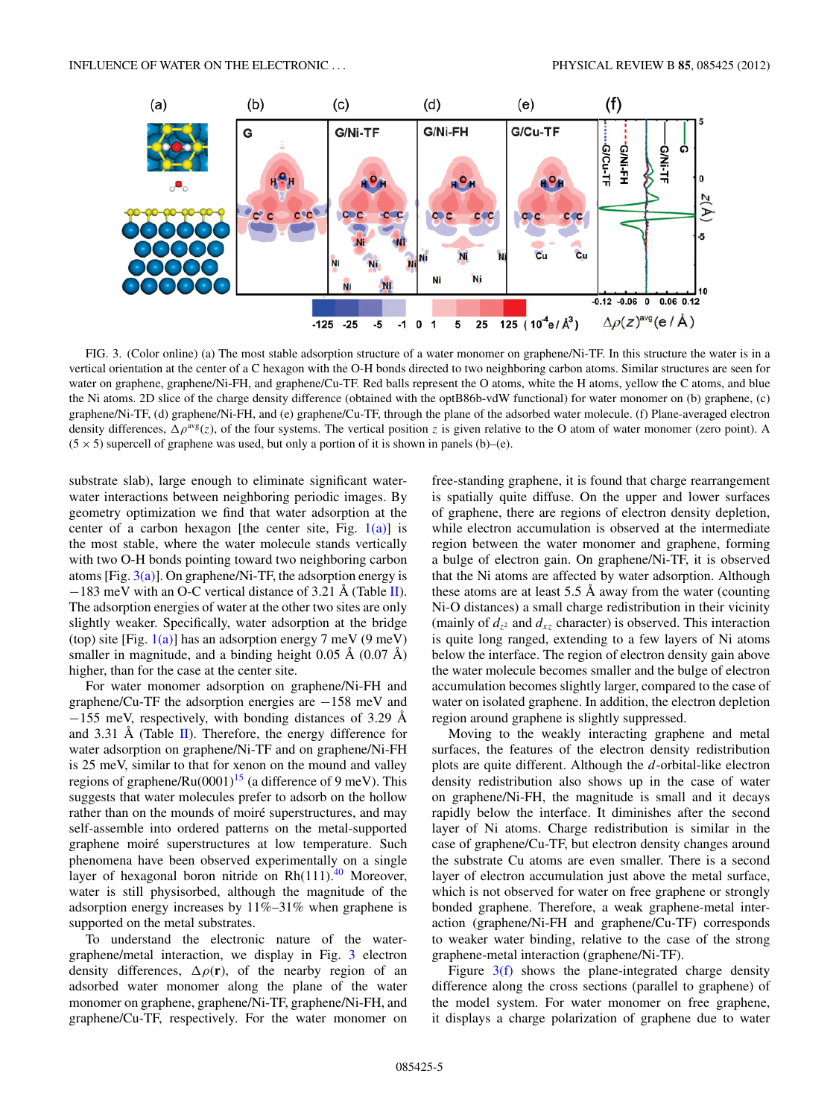<span id="page-4-0"></span>

FIG. 3. (Color online) (a) The most stable adsorption structure of a water monomer on graphene/Ni-TF. In this structure the water is in a vertical orientation at the center of a C hexagon with the O-H bonds directed to two neighboring carbon atoms. Similar structures are seen for water on graphene, graphene/Ni-FH, and graphene/Cu-TF. Red balls represent the O atoms, white the H atoms, yellow the C atoms, and blue the Ni atoms. 2D slice of the charge density difference (obtained with the optB86b-vdW functional) for water monomer on (b) graphene, (c) graphene/Ni-TF, (d) graphene/Ni-FH, and (e) graphene/Cu-TF, through the plane of the adsorbed water molecule. (f) Plane-averaged electron density differences,  $\Delta \rho^{avg}(z)$ , of the four systems. The vertical position *z* is given relative to the O atom of water monomer (zero point). A  $(5 \times 5)$  supercell of graphene was used, but only a portion of it is shown in panels (b)–(e).

substrate slab), large enough to eliminate significant waterwater interactions between neighboring periodic images. By geometry optimization we find that water adsorption at the center of a carbon hexagon [the center site, Fig.  $1(a)$ ] is the most stable, where the water molecule stands vertically with two O-H bonds pointing toward two neighboring carbon atoms [Fig.  $3(a)$ ]. On graphene/Ni-TF, the adsorption energy is  $-183$  meV with an O-C vertical distance of 3.21 Å (Table [II\)](#page-3-0). The adsorption energies of water at the other two sites are only slightly weaker. Specifically, water adsorption at the bridge (top) site [Fig.  $1(a)$ ] has an adsorption energy 7 meV (9 meV) smaller in magnitude, and a binding height  $0.05 \text{ Å } (0.07 \text{ Å})$ higher, than for the case at the center site.

For water monomer adsorption on graphene/Ni-FH and graphene/Cu-TF the adsorption energies are −158 meV and  $-155$  meV, respectively, with bonding distances of 3.29 Å and 3.31 Å (Table  $\overline{II}$ ). Therefore, the energy difference for water adsorption on graphene/Ni-TF and on graphene/Ni-FH is 25 meV, similar to that for xenon on the mound and valley regions of graphene/Ru(0001)<sup>15</sup> (a difference of 9 meV). This suggests that water molecules prefer to adsorb on the hollow rather than on the mounds of moiré superstructures, and may self-assemble into ordered patterns on the metal-supported graphene moiré superstructures at low temperature. Such phenomena have been observed experimentally on a single layer of hexagonal boron nitride on  $Rh(111).40$  $Rh(111).40$  Moreover, water is still physisorbed, although the magnitude of the adsorption energy increases by 11%–31% when graphene is supported on the metal substrates.

To understand the electronic nature of the watergraphene/metal interaction, we display in Fig. 3 electron density differences,  $\Delta \rho(\mathbf{r})$ , of the nearby region of an adsorbed water monomer along the plane of the water monomer on graphene, graphene/Ni-TF, graphene/Ni-FH, and graphene/Cu-TF, respectively. For the water monomer on free-standing graphene, it is found that charge rearrangement is spatially quite diffuse. On the upper and lower surfaces of graphene, there are regions of electron density depletion, while electron accumulation is observed at the intermediate region between the water monomer and graphene, forming a bulge of electron gain. On graphene/Ni-TF, it is observed that the Ni atoms are affected by water adsorption. Although these atoms are at least  $5.5 \text{ Å}$  away from the water (counting Ni-O distances) a small charge redistribution in their vicinity (mainly of  $d_{z^2}$  and  $d_{xz}$  character) is observed. This interaction is quite long ranged, extending to a few layers of Ni atoms below the interface. The region of electron density gain above the water molecule becomes smaller and the bulge of electron accumulation becomes slightly larger, compared to the case of water on isolated graphene. In addition, the electron depletion region around graphene is slightly suppressed.

Moving to the weakly interacting graphene and metal surfaces, the features of the electron density redistribution plots are quite different. Although the *d*-orbital-like electron density redistribution also shows up in the case of water on graphene/Ni-FH, the magnitude is small and it decays rapidly below the interface. It diminishes after the second layer of Ni atoms. Charge redistribution is similar in the case of graphene/Cu-TF, but electron density changes around the substrate Cu atoms are even smaller. There is a second layer of electron accumulation just above the metal surface, which is not observed for water on free graphene or strongly bonded graphene. Therefore, a weak graphene-metal interaction (graphene/Ni-FH and graphene/Cu-TF) corresponds to weaker water binding, relative to the case of the strong graphene-metal interaction (graphene/Ni-TF).

Figure  $3(f)$  shows the plane-integrated charge density difference along the cross sections (parallel to graphene) of the model system. For water monomer on free graphene, it displays a charge polarization of graphene due to water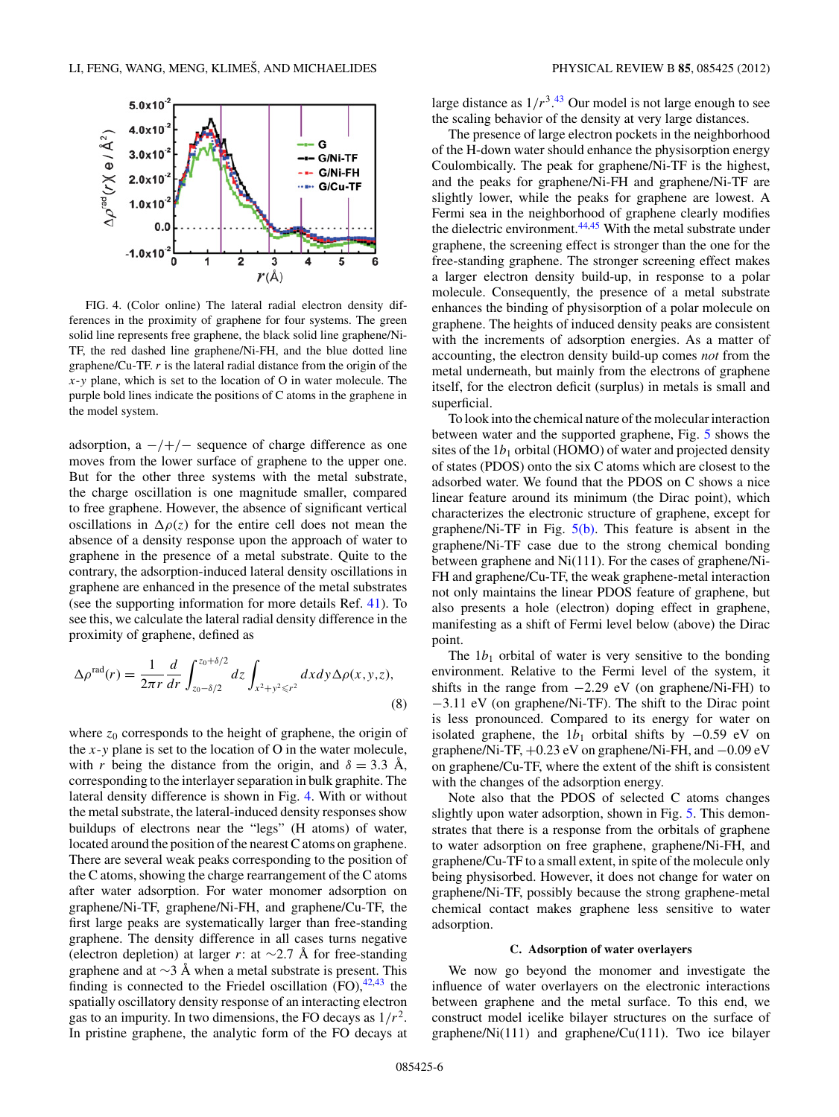

FIG. 4. (Color online) The lateral radial electron density differences in the proximity of graphene for four systems. The green solid line represents free graphene, the black solid line graphene/Ni-TF, the red dashed line graphene/Ni-FH, and the blue dotted line graphene/Cu-TF. *r* is the lateral radial distance from the origin of the *x*-*y* plane, which is set to the location of O in water molecule. The purple bold lines indicate the positions of C atoms in the graphene in the model system.

adsorption, a −*/*+*/*− sequence of charge difference as one moves from the lower surface of graphene to the upper one. But for the other three systems with the metal substrate, the charge oscillation is one magnitude smaller, compared to free graphene. However, the absence of significant vertical oscillations in  $\Delta \rho(z)$  for the entire cell does not mean the absence of a density response upon the approach of water to graphene in the presence of a metal substrate. Quite to the contrary, the adsorption-induced lateral density oscillations in graphene are enhanced in the presence of the metal substrates (see the supporting information for more details Ref. [41\)](#page-9-0). To see this, we calculate the lateral radial density difference in the proximity of graphene, defined as

$$
\Delta \rho^{\text{rad}}(r) = \frac{1}{2\pi r} \frac{d}{dr} \int_{z_0 - \delta/2}^{z_0 + \delta/2} dz \int_{x^2 + y^2 \le r^2} dx dy \Delta \rho(x, y, z), \tag{8}
$$

where  $z_0$  corresponds to the height of graphene, the origin of the *x*-*y* plane is set to the location of O in the water molecule, with *r* being the distance from the origin, and  $\delta = 3.3$  Å, corresponding to the interlayer separation in bulk graphite. The lateral density difference is shown in Fig. 4. With or without the metal substrate, the lateral-induced density responses show buildups of electrons near the "legs" (H atoms) of water, located around the position of the nearest C atoms on graphene. There are several weak peaks corresponding to the position of the C atoms, showing the charge rearrangement of the C atoms after water adsorption. For water monomer adsorption on graphene/Ni-TF, graphene/Ni-FH, and graphene/Cu-TF, the first large peaks are systematically larger than free-standing graphene. The density difference in all cases turns negative (electron depletion) at larger *r*: at  $\sim$ 2.7 Å for free-standing graphene and at  $\sim$ 3 Å when a metal substrate is present. This finding is connected to the Friedel oscillation  $(FO)$ ,  $42,43$  the spatially oscillatory density response of an interacting electron gas to an impurity. In two dimensions, the FO decays as 1*/r*2. In pristine graphene, the analytic form of the FO decays at

large distance as  $1/r^3$ .<sup>[43](#page-9-0)</sup> Our model is not large enough to see the scaling behavior of the density at very large distances.

The presence of large electron pockets in the neighborhood of the H-down water should enhance the physisorption energy Coulombically. The peak for graphene/Ni-TF is the highest, and the peaks for graphene/Ni-FH and graphene/Ni-TF are slightly lower, while the peaks for graphene are lowest. A Fermi sea in the neighborhood of graphene clearly modifies the dielectric environment.<sup>[44,45](#page-9-0)</sup> With the metal substrate under graphene, the screening effect is stronger than the one for the free-standing graphene. The stronger screening effect makes a larger electron density build-up, in response to a polar molecule. Consequently, the presence of a metal substrate enhances the binding of physisorption of a polar molecule on graphene. The heights of induced density peaks are consistent with the increments of adsorption energies. As a matter of accounting, the electron density build-up comes *not* from the metal underneath, but mainly from the electrons of graphene itself, for the electron deficit (surplus) in metals is small and superficial.

To look into the chemical nature of the molecular interaction between water and the supported graphene, Fig. [5](#page-6-0) shows the sites of the  $1b_1$  orbital (HOMO) of water and projected density of states (PDOS) onto the six C atoms which are closest to the adsorbed water. We found that the PDOS on C shows a nice linear feature around its minimum (the Dirac point), which characterizes the electronic structure of graphene, except for graphene/Ni-TF in Fig.  $5(b)$ . This feature is absent in the graphene/Ni-TF case due to the strong chemical bonding between graphene and Ni(111). For the cases of graphene/Ni-FH and graphene/Cu-TF, the weak graphene-metal interaction not only maintains the linear PDOS feature of graphene, but also presents a hole (electron) doping effect in graphene, manifesting as a shift of Fermi level below (above) the Dirac point.

The  $1b_1$  orbital of water is very sensitive to the bonding environment. Relative to the Fermi level of the system, it shifts in the range from  $-2.29$  eV (on graphene/Ni-FH) to −3.11 eV (on graphene/Ni-TF). The shift to the Dirac point is less pronounced. Compared to its energy for water on isolated graphene, the  $1b_1$  orbital shifts by  $-0.59$  eV on graphene/Ni-TF,  $+0.23$  eV on graphene/Ni-FH, and  $-0.09$  eV on graphene/Cu-TF, where the extent of the shift is consistent with the changes of the adsorption energy.

Note also that the PDOS of selected C atoms changes slightly upon water adsorption, shown in Fig. [5.](#page-6-0) This demonstrates that there is a response from the orbitals of graphene to water adsorption on free graphene, graphene/Ni-FH, and graphene/Cu-TF to a small extent, in spite of the molecule only being physisorbed. However, it does not change for water on graphene/Ni-TF, possibly because the strong graphene-metal chemical contact makes graphene less sensitive to water adsorption.

### **C. Adsorption of water overlayers**

We now go beyond the monomer and investigate the influence of water overlayers on the electronic interactions between graphene and the metal surface. To this end, we construct model icelike bilayer structures on the surface of graphene/Ni(111) and graphene/Cu(111). Two ice bilayer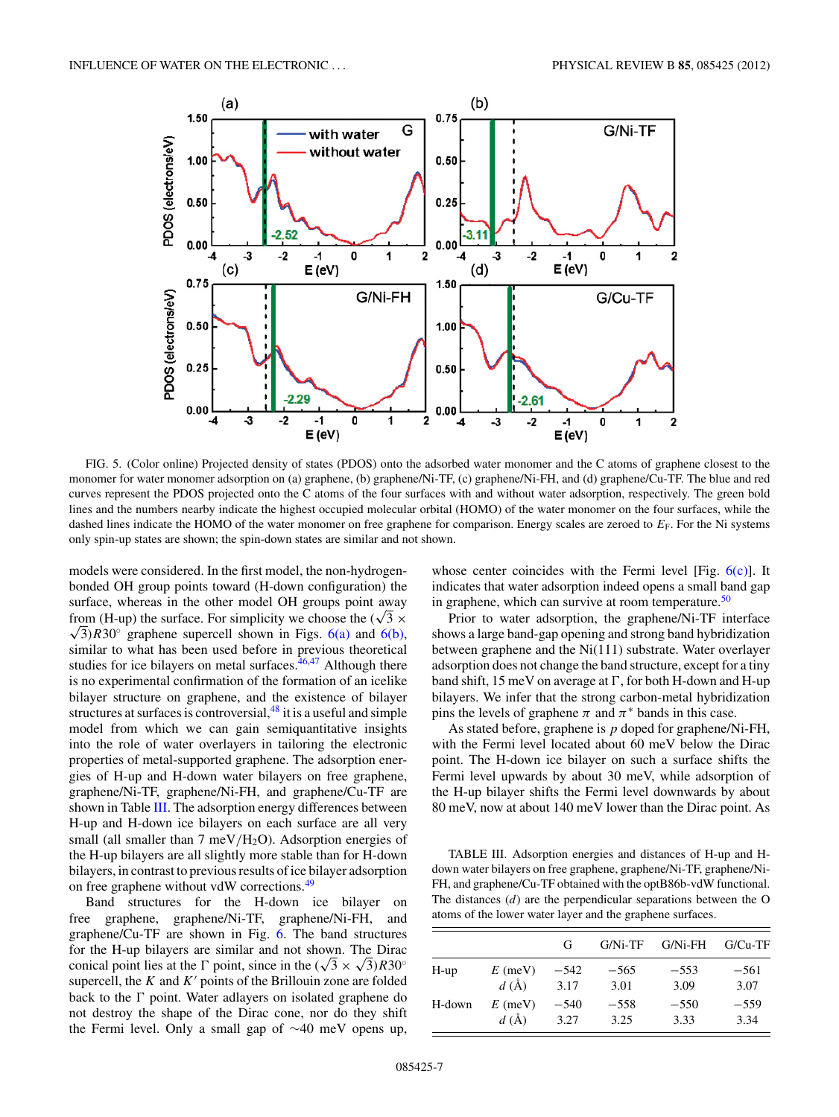<span id="page-6-0"></span>

FIG. 5. (Color online) Projected density of states (PDOS) onto the adsorbed water monomer and the C atoms of graphene closest to the monomer for water monomer adsorption on (a) graphene, (b) graphene/Ni-TF, (c) graphene/Ni-FH, and (d) graphene/Cu-TF. The blue and red curves represent the PDOS projected onto the C atoms of the four surfaces with and without water adsorption, respectively. The green bold lines and the numbers nearby indicate the highest occupied molecular orbital (HOMO) of the water monomer on the four surfaces, while the dashed lines indicate the HOMO of the water monomer on free graphene for comparison. Energy scales are zeroed to  $E_F$ . For the Ni systems only spin-up states are shown; the spin-down states are similar and not shown.

models were considered. In the first model, the non-hydrogenbonded OH group points toward (H-down configuration) the surface, whereas in the other model OH groups point away from (H-up) the surface. For simplicity we choose the  $(\sqrt{3} \times$  $\sqrt{3}R30^\circ$  graphene supercell shown in Figs. [6\(a\)](#page-7-0) and [6\(b\),](#page-7-0) similar to what has been used before in previous theoretical studies for ice bilayers on metal surfaces. $46,47$  Although there is no experimental confirmation of the formation of an icelike bilayer structure on graphene, and the existence of bilayer structures at surfaces is controversial, $48$  it is a useful and simple model from which we can gain semiquantitative insights into the role of water overlayers in tailoring the electronic properties of metal-supported graphene. The adsorption energies of H-up and H-down water bilayers on free graphene, graphene/Ni-TF, graphene/Ni-FH, and graphene/Cu-TF are shown in Table III. The adsorption energy differences between H-up and H-down ice bilayers on each surface are all very small (all smaller than 7 meV/H<sub>2</sub>O). Adsorption energies of the H-up bilayers are all slightly more stable than for H-down bilayers, in contrast to previous results of ice bilayer adsorption on free graphene without vdW corrections.<sup>[49](#page-9-0)</sup>

Band structures for the H-down ice bilayer on free graphene, graphene/Ni-TF, graphene/Ni-FH, and graphene/Cu-TF are shown in Fig. [6.](#page-7-0) The band structures for the H-up bilayers are similar and not shown. The Dirac conical point lies at the  $\Gamma$  point, since in the  $(\sqrt{3} \times \sqrt{3})R30^\circ$ supercell, the  $K$  and  $K'$  points of the Brillouin zone are folded back to the  $\Gamma$  point. Water adlayers on isolated graphene do not destroy the shape of the Dirac cone, nor do they shift the Fermi level. Only a small gap of ∼40 meV opens up,

whose center coincides with the Fermi level [Fig.  $6(c)$ ]. It indicates that water adsorption indeed opens a small band gap in graphene, which can survive at room temperature.<sup>50</sup>

Prior to water adsorption, the graphene/Ni-TF interface shows a large band-gap opening and strong band hybridization between graphene and the Ni(111) substrate. Water overlayer adsorption does not change the band structure, except for a tiny band shift, 15 meV on average at  $\Gamma$ , for both H-down and H-up bilayers. We infer that the strong carbon-metal hybridization pins the levels of graphene  $\pi$  and  $\pi$ <sup>\*</sup> bands in this case.

As stated before, graphene is *p* doped for graphene/Ni-FH, with the Fermi level located about 60 meV below the Dirac point. The H-down ice bilayer on such a surface shifts the Fermi level upwards by about 30 meV, while adsorption of the H-up bilayer shifts the Fermi level downwards by about 80 meV, now at about 140 meV lower than the Dirac point. As

TABLE III. Adsorption energies and distances of H-up and Hdown water bilayers on free graphene, graphene/Ni-TF, graphene/Ni-FH, and graphene/Cu-TF obtained with the optB86b-vdW functional. The distances (*d*) are the perpendicular separations between the O atoms of the lower water layer and the graphene surfaces.

|        |           | G      | $G/Ni-TF$ | $G/Ni$ -FH | $G/Cu-TF$ |
|--------|-----------|--------|-----------|------------|-----------|
| $H-up$ | $E$ (meV) | $-542$ | $-565$    | $-553$     | $-561$    |
|        | $d(\AA)$  | 3.17   | 3.01      | 3.09       | 3.07      |
| H-down | $E$ (meV) | $-540$ | $-558$    | $-550$     | $-559$    |
|        | d(A)      | 3.27   | 3.25      | 3.33       | 3.34      |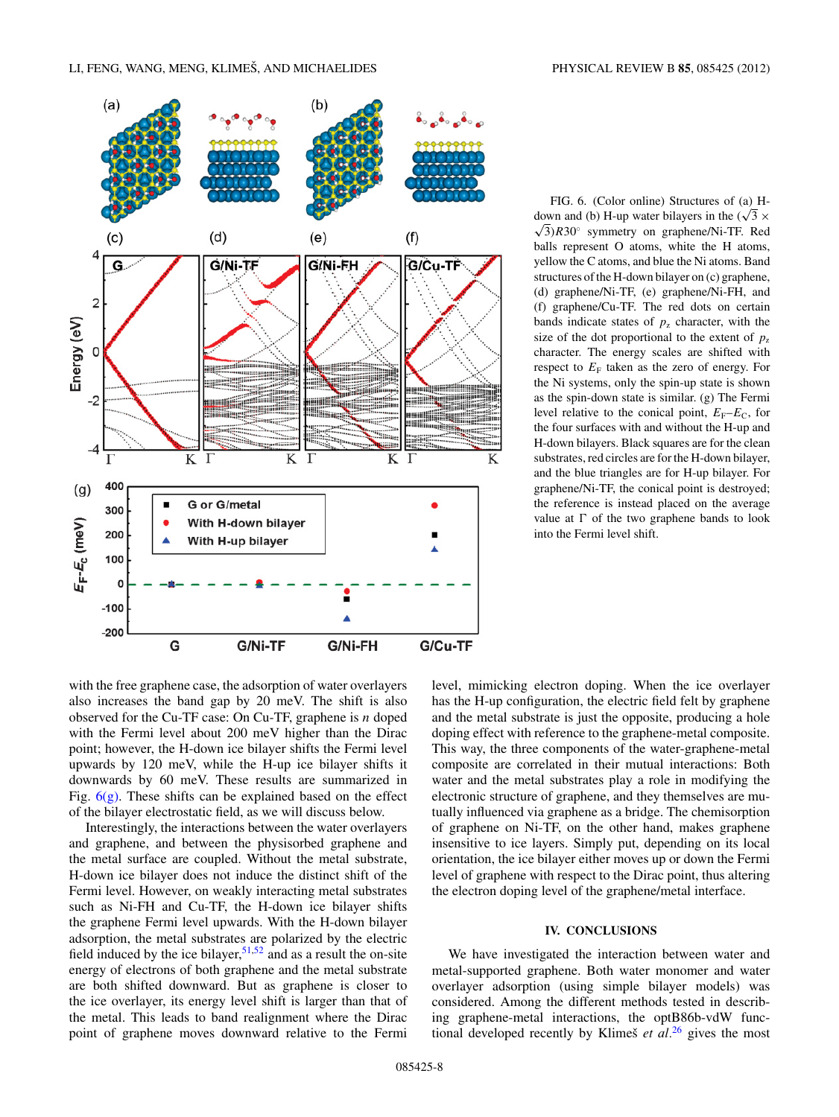<span id="page-7-0"></span>

FIG. 6. (Color online) Structures of (a) Hdown and (b) H-up water bilayers in the  $(\sqrt{3} \times$  $\sqrt{3}$ ) $R30^\circ$  symmetry on graphene/Ni-TF. Red balls represent O atoms, white the H atoms, yellow the C atoms, and blue the Ni atoms. Band structures of the H-down bilayer on (c) graphene, (d) graphene/Ni-TF, (e) graphene/Ni-FH, and (f) graphene/Cu-TF. The red dots on certain bands indicate states of  $p<sub>z</sub>$  character, with the size of the dot proportional to the extent of  $p_z$ character. The energy scales are shifted with respect to  $E_F$  taken as the zero of energy. For the Ni systems, only the spin-up state is shown as the spin-down state is similar. (g) The Fermi level relative to the conical point,  $E_F-E_C$ , for the four surfaces with and without the H-up and H-down bilayers. Black squares are for the clean substrates, red circles are for the H-down bilayer, and the blue triangles are for H-up bilayer. For graphene/Ni-TF, the conical point is destroyed; the reference is instead placed on the average value at  $\Gamma$  of the two graphene bands to look into the Fermi level shift.

with the free graphene case, the adsorption of water overlayers also increases the band gap by 20 meV. The shift is also observed for the Cu-TF case: On Cu-TF, graphene is *n* doped with the Fermi level about 200 meV higher than the Dirac point; however, the H-down ice bilayer shifts the Fermi level upwards by 120 meV, while the H-up ice bilayer shifts it downwards by 60 meV. These results are summarized in Fig.  $6(g)$ . These shifts can be explained based on the effect of the bilayer electrostatic field, as we will discuss below.

Interestingly, the interactions between the water overlayers and graphene, and between the physisorbed graphene and the metal surface are coupled. Without the metal substrate, H-down ice bilayer does not induce the distinct shift of the Fermi level. However, on weakly interacting metal substrates such as Ni-FH and Cu-TF, the H-down ice bilayer shifts the graphene Fermi level upwards. With the H-down bilayer adsorption, the metal substrates are polarized by the electric field induced by the ice bilayer,  $51,52$  and as a result the on-site energy of electrons of both graphene and the metal substrate are both shifted downward. But as graphene is closer to the ice overlayer, its energy level shift is larger than that of the metal. This leads to band realignment where the Dirac point of graphene moves downward relative to the Fermi level, mimicking electron doping. When the ice overlayer has the H-up configuration, the electric field felt by graphene and the metal substrate is just the opposite, producing a hole doping effect with reference to the graphene-metal composite. This way, the three components of the water-graphene-metal composite are correlated in their mutual interactions: Both water and the metal substrates play a role in modifying the electronic structure of graphene, and they themselves are mutually influenced via graphene as a bridge. The chemisorption of graphene on Ni-TF, on the other hand, makes graphene insensitive to ice layers. Simply put, depending on its local orientation, the ice bilayer either moves up or down the Fermi level of graphene with respect to the Dirac point, thus altering the electron doping level of the graphene/metal interface.

#### **IV. CONCLUSIONS**

We have investigated the interaction between water and metal-supported graphene. Both water monomer and water overlayer adsorption (using simple bilayer models) was considered. Among the different methods tested in describing graphene-metal interactions, the optB86b-vdW functional developed recently by Klimeš *et al.*<sup>[26](#page-8-0)</sup> gives the most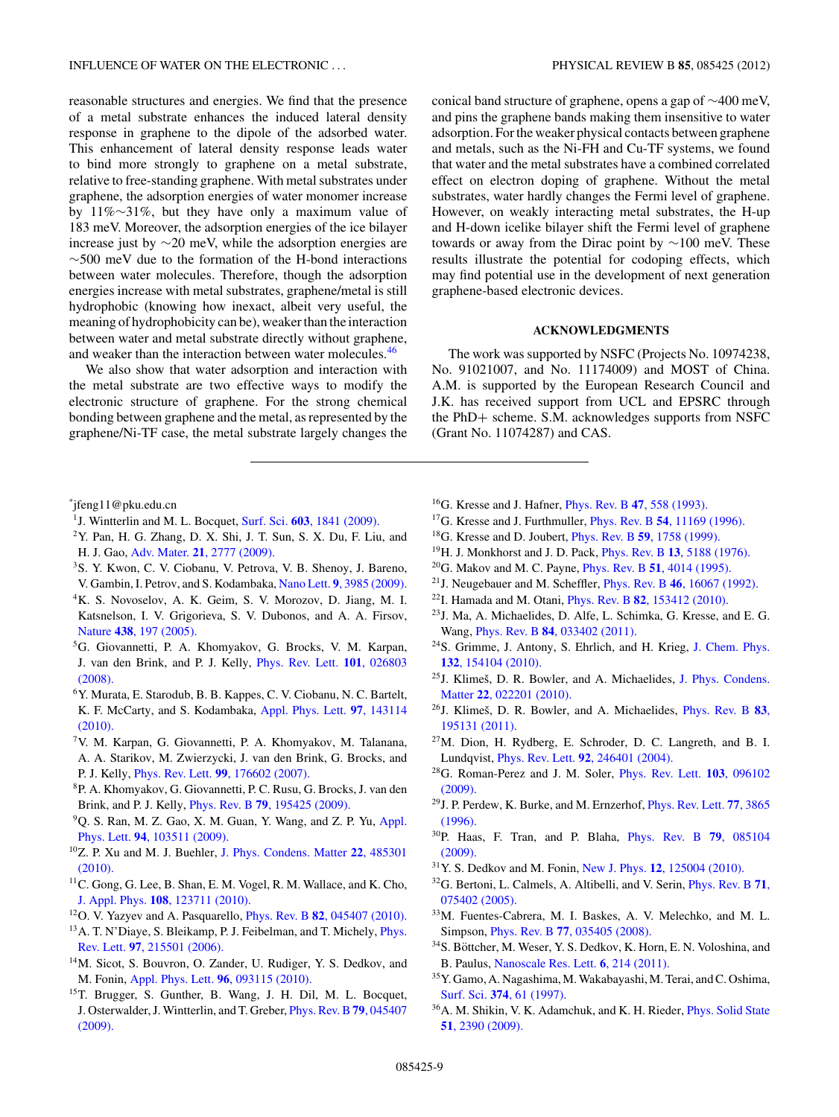<span id="page-8-0"></span>reasonable structures and energies. We find that the presence of a metal substrate enhances the induced lateral density response in graphene to the dipole of the adsorbed water. This enhancement of lateral density response leads water to bind more strongly to graphene on a metal substrate, relative to free-standing graphene. With metal substrates under graphene, the adsorption energies of water monomer increase by 11%∼31%, but they have only a maximum value of 183 meV. Moreover, the adsorption energies of the ice bilayer increase just by ∼20 meV, while the adsorption energies are ∼500 meV due to the formation of the H-bond interactions between water molecules. Therefore, though the adsorption energies increase with metal substrates, graphene/metal is still hydrophobic (knowing how inexact, albeit very useful, the meaning of hydrophobicity can be), weaker than the interaction between water and metal substrate directly without graphene, and weaker than the interaction between water molecules.<sup>46</sup>

We also show that water adsorption and interaction with the metal substrate are two effective ways to modify the electronic structure of graphene. For the strong chemical bonding between graphene and the metal, as represented by the graphene/Ni-TF case, the metal substrate largely changes the

- \* jfeng11@pku.edu.cn
- 1J. Wintterlin and M. L. Bocquet, Surf. Sci. **603**[, 1841 \(2009\).](http://dx.doi.org/10.1016/j.susc.2008.08.037)
- 2Y. Pan, H. G. Zhang, D. X. Shi, J. T. Sun, S. X. Du, F. Liu, and H. J. Gao, Adv. Mater. **21**[, 2777 \(2009\).](http://dx.doi.org/10.1002/adma.200800761)
- 3S. Y. Kwon, C. V. Ciobanu, V. Petrova, V. B. Shenoy, J. Bareno, V. Gambin, I. Petrov, and S. Kodambaka, Nano Lett. **9**[, 3985 \(2009\).](http://dx.doi.org/10.1021protect $
elax /$nl902140j)
- 4K. S. Novoselov, A. K. Geim, S. V. Morozov, D. Jiang, M. I. Katsnelson, I. V. Grigorieva, S. V. Dubonos, and A. A. Firsov, Nature **438**[, 197 \(2005\).](http://dx.doi.org/10.1038/nature04233)
- 5G. Giovannetti, P. A. Khomyakov, G. Brocks, V. M. Karpan, J. van den Brink, and P. J. Kelly, [Phys. Rev. Lett.](http://dx.doi.org/10.1103/PhysRevLett.101.026803) **101**, 026803 [\(2008\).](http://dx.doi.org/10.1103/PhysRevLett.101.026803)
- 6Y. Murata, E. Starodub, B. B. Kappes, C. V. Ciobanu, N. C. Bartelt, K. F. McCarty, and S. Kodambaka, [Appl. Phys. Lett.](http://dx.doi.org/10.1063/1.3495784) **97**, 143114 [\(2010\).](http://dx.doi.org/10.1063/1.3495784)
- 7V. M. Karpan, G. Giovannetti, P. A. Khomyakov, M. Talanana, A. A. Starikov, M. Zwierzycki, J. van den Brink, G. Brocks, and P. J. Kelly, Phys. Rev. Lett. **99**[, 176602 \(2007\).](http://dx.doi.org/10.1103/PhysRevLett.99.176602)
- 8P. A. Khomyakov, G. Giovannetti, P. C. Rusu, G. Brocks, J. van den Brink, and P. J. Kelly, Phys. Rev. B **79**[, 195425 \(2009\).](http://dx.doi.org/10.1103/PhysRevB.79.195425)
- <sup>9</sup>Q. S. Ran, M. Z. Gao, X. M. Guan, Y. Wang, and Z. P. Yu, [Appl.](http://dx.doi.org/10.1063/1.3095438) Phys. Lett. **94**[, 103511 \(2009\).](http://dx.doi.org/10.1063/1.3095438)
- 10Z. P. Xu and M. J. Buehler, [J. Phys. Condens. Matter](http://dx.doi.org/10.1088/0953-8984/22/48/485301) **22**, 485301 [\(2010\).](http://dx.doi.org/10.1088/0953-8984/22/48/485301)
- <sup>11</sup>C. Gong, G. Lee, B. Shan, E. M. Vogel, R. M. Wallace, and K. Cho, J. Appl. Phys. **108**[, 123711 \(2010\).](http://dx.doi.org/10.1063/1.3524232)
- 12O. V. Yazyev and A. Pasquarello, Phys. Rev. B **82**[, 045407 \(2010\).](http://dx.doi.org/10.1103/PhysRevB.82.045407) <sup>13</sup>A. T. N'Diaye, S. Bleikamp, P. J. Feibelman, and T. Michely, *[Phys.](http://dx.doi.org/10.1103/PhysRevLett.97.215501)* Rev. Lett. **97**[, 215501 \(2006\).](http://dx.doi.org/10.1103/PhysRevLett.97.215501)
- 14M. Sicot, S. Bouvron, O. Zander, U. Rudiger, Y. S. Dedkov, and M. Fonin, [Appl. Phys. Lett.](http://dx.doi.org/10.1063/1.3341176) **96**, 093115 (2010).
- <sup>15</sup>T. Brugger, S. Gunther, B. Wang, J. H. Dil, M. L. Bocquet, J. Osterwalder, J. Wintterlin, and T. Greber, [Phys. Rev. B](http://dx.doi.org/10.1103/PhysRevB.79.045407) **79**, 045407 [\(2009\).](http://dx.doi.org/10.1103/PhysRevB.79.045407)

conical band structure of graphene, opens a gap of ∼400 meV, and pins the graphene bands making them insensitive to water adsorption. For the weaker physical contacts between graphene and metals, such as the Ni-FH and Cu-TF systems, we found that water and the metal substrates have a combined correlated effect on electron doping of graphene. Without the metal substrates, water hardly changes the Fermi level of graphene. However, on weakly interacting metal substrates, the H-up and H-down icelike bilayer shift the Fermi level of graphene towards or away from the Dirac point by ∼100 meV. These results illustrate the potential for codoping effects, which may find potential use in the development of next generation graphene-based electronic devices.

# **ACKNOWLEDGMENTS**

The work was supported by NSFC (Projects No. 10974238, No. 91021007, and No. 11174009) and MOST of China. A.M. is supported by the European Research Council and J.K. has received support from UCL and EPSRC through the PhD+ scheme. S.M. acknowledges supports from NSFC (Grant No. 11074287) and CAS.

- 16G. Kresse and J. Hafner, Phys. Rev. B **47**[, 558 \(1993\).](http://dx.doi.org/10.1103/PhysRevB.47.558)
- 17G. Kresse and J. Furthmuller, Phys. Rev. B **54**[, 11169 \(1996\).](http://dx.doi.org/10.1103/PhysRevB.54.11169)
- 18G. Kresse and D. Joubert, Phys. Rev. B **59**[, 1758 \(1999\).](http://dx.doi.org/10.1103/PhysRevB.59.1758)
- 19H. J. Monkhorst and J. D. Pack, Phys. Rev. B **13**[, 5188 \(1976\).](http://dx.doi.org/10.1103/PhysRevB.13.5188)
- 20G. Makov and M. C. Payne, Phys. Rev. B **51**[, 4014 \(1995\).](http://dx.doi.org/10.1103/PhysRevB.51.4014)
- 21J. Neugebauer and M. Scheffler, Phys. Rev. B **46**[, 16067 \(1992\).](http://dx.doi.org/10.1103/PhysRevB.46.16067)
- 22I. Hamada and M. Otani, Phys. Rev. B **82**[, 153412 \(2010\).](http://dx.doi.org/10.1103/PhysRevB.82.153412)
- 23J. Ma, A. Michaelides, D. Alfe, L. Schimka, G. Kresse, and E. G. Wang, Phys. Rev. B **84**[, 033402 \(2011\).](http://dx.doi.org/10.1103/PhysRevB.84.033402)
- 24S. Grimme, J. Antony, S. Ehrlich, and H. Krieg, [J. Chem. Phys.](http://dx.doi.org/10.1063/1.3382344) **132**[, 154104 \(2010\).](http://dx.doi.org/10.1063/1.3382344)
- $25$ J. Klimeš, D. R. Bowler, and A. Michaelides, [J. Phys. Condens.](http://dx.doi.org/10.1088/0953-8984/22/2/022201) Matter **22**[, 022201 \(2010\).](http://dx.doi.org/10.1088/0953-8984/22/2/022201)
- $^{26}$ J. Klimeš, D. R. Bowler, and A. Michaelides, *[Phys. Rev. B](http://dx.doi.org/10.1103/PhysRevB.83.195131)* 83, [195131 \(2011\).](http://dx.doi.org/10.1103/PhysRevB.83.195131)
- $27$ M. Dion, H. Rydberg, E. Schroder, D. C. Langreth, and B. I. Lundqvist, Phys. Rev. Lett. **92**[, 246401 \(2004\).](http://dx.doi.org/10.1103/PhysRevLett.92.246401)
- 28G. Roman-Perez and J. M. Soler, [Phys. Rev. Lett.](http://dx.doi.org/10.1103/PhysRevLett.103.096102) **103**, 096102 [\(2009\).](http://dx.doi.org/10.1103/PhysRevLett.103.096102)
- 29J. P. Perdew, K. Burke, and M. Ernzerhof, [Phys. Rev. Lett.](http://dx.doi.org/10.1103/PhysRevLett.77.3865) **77**, 3865 [\(1996\).](http://dx.doi.org/10.1103/PhysRevLett.77.3865)
- 30P. Haas, F. Tran, and P. Blaha, [Phys. Rev. B](http://dx.doi.org/10.1103/PhysRevB.79.085104) **79**, 085104 [\(2009\).](http://dx.doi.org/10.1103/PhysRevB.79.085104)
- 31Y. S. Dedkov and M. Fonin, New J. Phys. **12**[, 125004 \(2010\).](http://dx.doi.org/10.1088/1367-2630/12/12/125004)
- 32G. Bertoni, L. Calmels, A. Altibelli, and V. Serin, [Phys. Rev. B](http://dx.doi.org/10.1103/PhysRevB.71.075402) **71**, [075402 \(2005\).](http://dx.doi.org/10.1103/PhysRevB.71.075402)
- 33M. Fuentes-Cabrera, M. I. Baskes, A. V. Melechko, and M. L. Simpson, Phys. Rev. B **77**[, 035405 \(2008\).](http://dx.doi.org/10.1103/PhysRevB.77.035405)
- <sup>34</sup>S. Böttcher, M. Weser, Y. S. Dedkov, K. Horn, E. N. Voloshina, and B. Paulus, [Nanoscale Res. Lett.](http://dx.doi.org/10.1186/1556-276X-6-214) **6**, 214 (2011).
- 35Y. Gamo, A. Nagashima, M.Wakabayashi, M. Terai, and C. Oshima, Surf. Sci. **374**[, 61 \(1997\).](http://dx.doi.org/10.1016/S0039-6028(96)00785-6)
- <sup>36</sup> A. M. Shikin, V. K. Adamchuk, and K. H. Rieder, *[Phys. Solid State](http://dx.doi.org/10.1134/S1063783409110316)* **51**[, 2390 \(2009\).](http://dx.doi.org/10.1134/S1063783409110316)